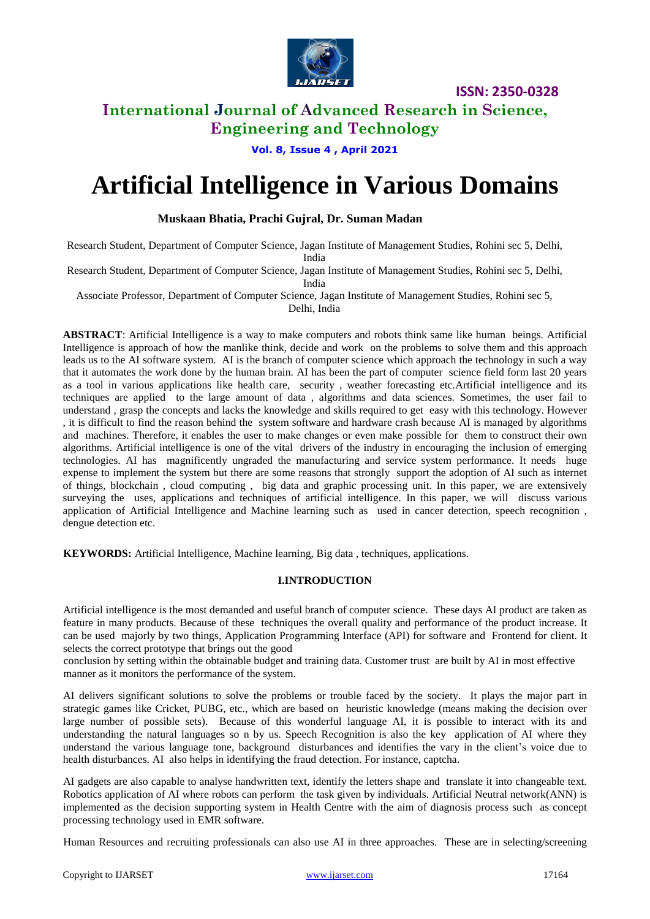

### **International Journal of Advanced Research in Science, Engineering and Technology**

**Vol. 8, Issue 4 , April 2021**

# **Artificial Intelligence in Various Domains**

### **Muskaan Bhatia, Prachi Gujral, Dr. Suman Madan**

Research Student, Department of Computer Science, Jagan Institute of Management Studies, Rohini sec 5, Delhi,

India

Research Student, Department of Computer Science, Jagan Institute of Management Studies, Rohini sec 5, Delhi, India

Associate Professor, Department of Computer Science, Jagan Institute of Management Studies, Rohini sec 5, Delhi, India

**ABSTRACT**: Artificial Intelligence is a way to make computers and robots think same like human beings. Artificial Intelligence is approach of how the manlike think, decide and work on the problems to solve them and this approach leads us to the AI software system. AI is the branch of computer science which approach the technology in such a way that it automates the work done by the human brain. AI has been the part of computer science field form last 20 years as a tool in various applications like health care, security , weather forecasting etc.Artificial intelligence and its techniques are applied to the large amount of data , algorithms and data sciences. Sometimes, the user fail to understand , grasp the concepts and lacks the knowledge and skills required to get easy with this technology. However , it is difficult to find the reason behind the system software and hardware crash because AI is managed by algorithms and machines. Therefore, it enables the user to make changes or even make possible for them to construct their own algorithms. Artificial intelligence is one of the vital drivers of the industry in encouraging the inclusion of emerging technologies. AI has magnificently ungraded the manufacturing and service system performance. It needs huge expense to implement the system but there are some reasons that strongly support the adoption of AI such as internet of things, blockchain , cloud computing , big data and graphic processing unit. In this paper, we are extensively surveying the uses, applications and techniques of artificial intelligence. In this paper, we will discuss various application of Artificial Intelligence and Machine learning such as used in cancer detection, speech recognition , dengue detection etc.

**KEYWORDS:** Artificial Intelligence, Machine learning, Big data , techniques, applications.

### **I.INTRODUCTION**

Artificial intelligence is the most demanded and useful branch of computer science. These days AI product are taken as feature in many products. Because of these techniques the overall quality and performance of the product increase. It can be used majorly by two things, Application Programming Interface (API) for software and Frontend for client. It selects the correct prototype that brings out the good

conclusion by setting within the obtainable budget and training data. Customer trust are built by AI in most effective manner as it monitors the performance of the system.

AI delivers significant solutions to solve the problems or trouble faced by the society. It plays the major part in strategic games like Cricket, PUBG, etc., which are based on heuristic knowledge (means making the decision over large number of possible sets). Because of this wonderful language AI, it is possible to interact with its and understanding the natural languages so n by us. Speech Recognition is also the key application of AI where they understand the various language tone, background disturbances and identifies the vary in the client's voice due to health disturbances. AI also helps in identifying the fraud detection. For instance, captcha.

AI gadgets are also capable to analyse handwritten text, identify the letters shape and translate it into changeable text. Robotics application of AI where robots can perform the task given by individuals. Artificial Neutral network(ANN) is implemented as the decision supporting system in Health Centre with the aim of diagnosis process such as concept processing technology used in EMR software.

Human Resources and recruiting professionals can also use AI in three approaches. These are in selecting/screening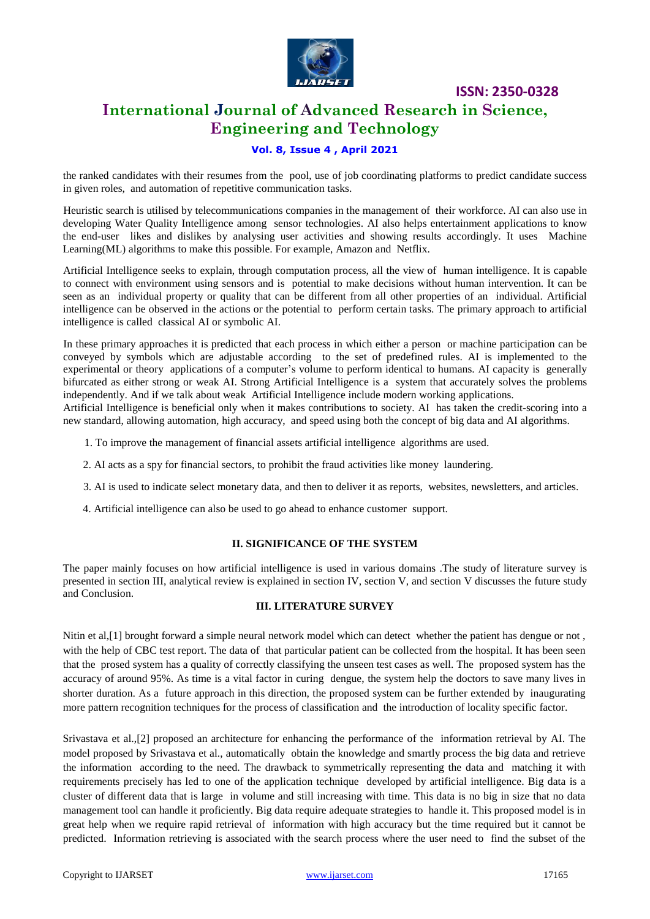

### **International Journal of Advanced Research in Science, Engineering and Technology**

### **Vol. 8, Issue 4 , April 2021**

the ranked candidates with their resumes from the pool, use of job coordinating platforms to predict candidate success in given roles, and automation of repetitive communication tasks.

Heuristic search is utilised by telecommunications companies in the management of their workforce. AI can also use in developing Water Quality Intelligence among sensor technologies. AI also helps entertainment applications to know the end-user likes and dislikes by analysing user activities and showing results accordingly. It uses Machine Learning(ML) algorithms to make this possible. For example, Amazon and Netflix.

Artificial Intelligence seeks to explain, through computation process, all the view of human intelligence. It is capable to connect with environment using sensors and is potential to make decisions without human intervention. It can be seen as an individual property or quality that can be different from all other properties of an individual. Artificial intelligence can be observed in the actions or the potential to perform certain tasks. The primary approach to artificial intelligence is called classical AI or symbolic AI.

In these primary approaches it is predicted that each process in which either a person or machine participation can be conveyed by symbols which are adjustable according to the set of predefined rules. AI is implemented to the experimental or theory applications of a computer's volume to perform identical to humans. AI capacity is generally bifurcated as either strong or weak AI. Strong Artificial Intelligence is a system that accurately solves the problems independently. And if we talk about weak Artificial Intelligence include modern working applications.

Artificial Intelligence is beneficial only when it makes contributions to society. AI has taken the credit-scoring into a new standard, allowing automation, high accuracy, and speed using both the concept of big data and AI algorithms.

- 1. To improve the management of financial assets artificial intelligence algorithms are used.
- 2. AI acts as a spy for financial sectors, to prohibit the fraud activities like money laundering.
- 3. AI is used to indicate select monetary data, and then to deliver it as reports, websites, newsletters, and articles.
- 4. Artificial intelligence can also be used to go ahead to enhance customer support.

### **II. SIGNIFICANCE OF THE SYSTEM**

The paper mainly focuses on how artificial intelligence is used in various domains .The study of literature survey is presented in section III, analytical review is explained in section IV, section V, and section V discusses the future study and Conclusion.

#### **III. LITERATURE SURVEY**

Nitin et al,[1] brought forward a simple neural network model which can detect whether the patient has dengue or not , with the help of CBC test report. The data of that particular patient can be collected from the hospital. It has been seen that the prosed system has a quality of correctly classifying the unseen test cases as well. The proposed system has the accuracy of around 95%. As time is a vital factor in curing dengue, the system help the doctors to save many lives in shorter duration. As a future approach in this direction, the proposed system can be further extended by inaugurating more pattern recognition techniques for the process of classification and the introduction of locality specific factor.

Srivastava et al.,[2] proposed an architecture for enhancing the performance of the information retrieval by AI. The model proposed by Srivastava et al., automatically obtain the knowledge and smartly process the big data and retrieve the information according to the need. The drawback to symmetrically representing the data and matching it with requirements precisely has led to one of the application technique developed by artificial intelligence. Big data is a cluster of different data that is large in volume and still increasing with time. This data is no big in size that no data management tool can handle it proficiently. Big data require adequate strategies to handle it. This proposed model is in great help when we require rapid retrieval of information with high accuracy but the time required but it cannot be predicted. Information retrieving is associated with the search process where the user need to find the subset of the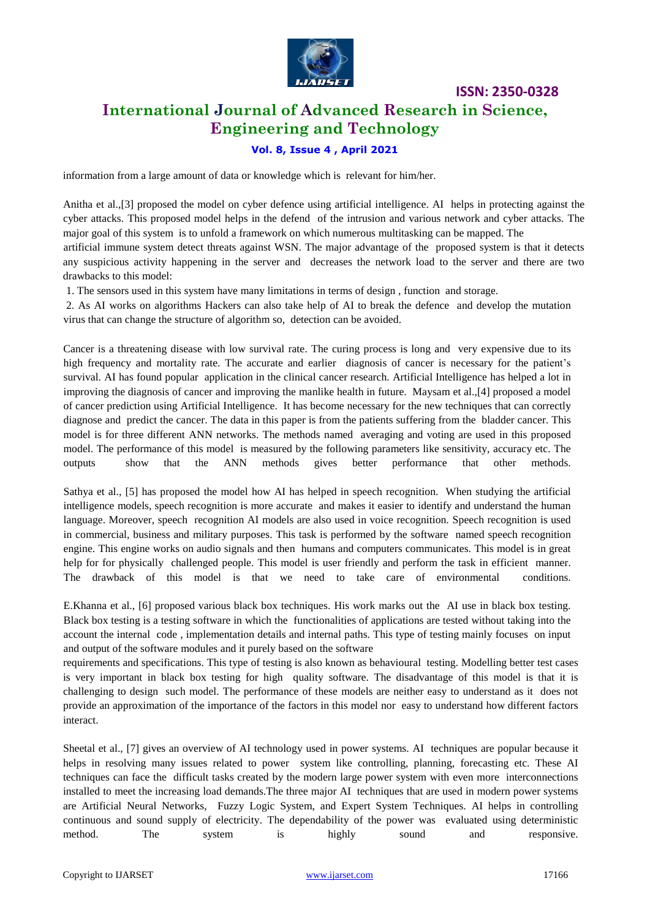

# **International Journal of Advanced Research in Science, Engineering and Technology**

**ISSN: 2350-0328**

### **Vol. 8, Issue 4 , April 2021**

information from a large amount of data or knowledge which is relevant for him/her.

Anitha et al.,[3] proposed the model on cyber defence using artificial intelligence. AI helps in protecting against the cyber attacks. This proposed model helps in the defend of the intrusion and various network and cyber attacks. The major goal of this system is to unfold a framework on which numerous multitasking can be mapped. The artificial immune system detect threats against WSN. The major advantage of the proposed system is that it detects any suspicious activity happening in the server and decreases the network load to the server and there are two drawbacks to this model:

1. The sensors used in this system have many limitations in terms of design , function and storage.

2. As AI works on algorithms Hackers can also take help of AI to break the defence and develop the mutation virus that can change the structure of algorithm so, detection can be avoided.

Cancer is a threatening disease with low survival rate. The curing process is long and very expensive due to its high frequency and mortality rate. The accurate and earlier diagnosis of cancer is necessary for the patient's survival. AI has found popular application in the clinical cancer research. Artificial Intelligence has helped a lot in improving the diagnosis of cancer and improving the manlike health in future. Maysam et al.,[4] proposed a model of cancer prediction using Artificial Intelligence. It has become necessary for the new techniques that can correctly diagnose and predict the cancer. The data in this paper is from the patients suffering from the bladder cancer. This model is for three different ANN networks. The methods named averaging and voting are used in this proposed model. The performance of this model is measured by the following parameters like sensitivity, accuracy etc. The outputs show that the ANN methods gives better performance that other methods.

Sathya et al., [5] has proposed the model how AI has helped in speech recognition. When studying the artificial intelligence models, speech recognition is more accurate and makes it easier to identify and understand the human language. Moreover, speech recognition AI models are also used in voice recognition. Speech recognition is used in commercial, business and military purposes. This task is performed by the software named speech recognition engine. This engine works on audio signals and then humans and computers communicates. This model is in great help for for physically challenged people. This model is user friendly and perform the task in efficient manner. The drawback of this model is that we need to take care of environmental conditions.

E.Khanna et al., [6] proposed various black box techniques. His work marks out the AI use in black box testing. Black box testing is a testing software in which the functionalities of applications are tested without taking into the account the internal code , implementation details and internal paths. This type of testing mainly focuses on input and output of the software modules and it purely based on the software

requirements and specifications. This type of testing is also known as behavioural testing. Modelling better test cases is very important in black box testing for high quality software. The disadvantage of this model is that it is challenging to design such model. The performance of these models are neither easy to understand as it does not provide an approximation of the importance of the factors in this model nor easy to understand how different factors interact.

Sheetal et al., [7] gives an overview of AI technology used in power systems. AI techniques are popular because it helps in resolving many issues related to power system like controlling, planning, forecasting etc. These AI techniques can face the difficult tasks created by the modern large power system with even more interconnections installed to meet the increasing load demands.The three major AI techniques that are used in modern power systems are Artificial Neural Networks, Fuzzy Logic System, and Expert System Techniques. AI helps in controlling continuous and sound supply of electricity. The dependability of the power was evaluated using deterministic method. The system is highly sound and responsive.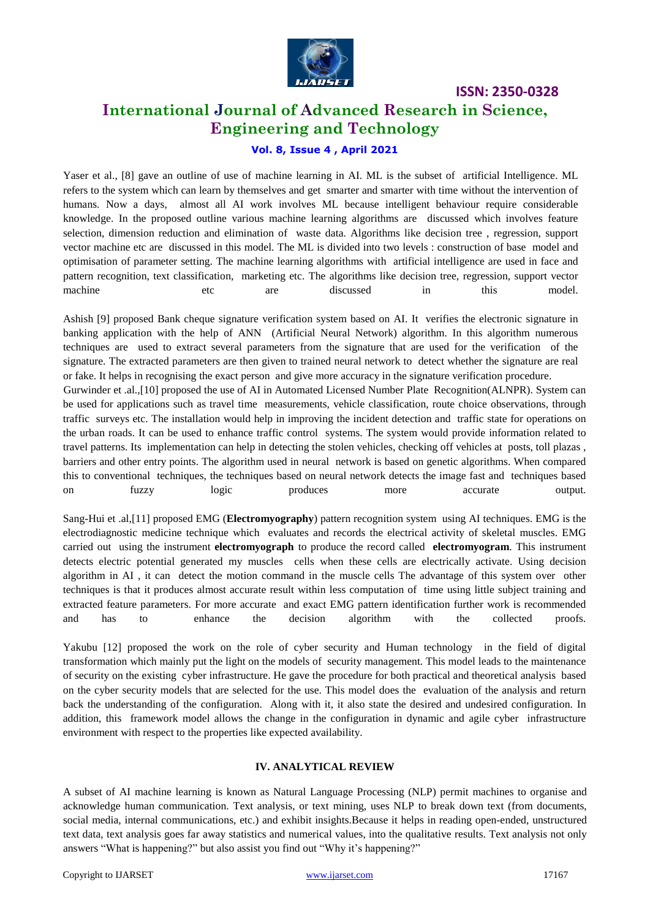

### **International Journal of Advanced Research in Science, Engineering and Technology**

### **Vol. 8, Issue 4 , April 2021**

Yaser et al., [8] gave an outline of use of machine learning in AI. ML is the subset of artificial Intelligence. ML refers to the system which can learn by themselves and get smarter and smarter with time without the intervention of humans. Now a days, almost all AI work involves ML because intelligent behaviour require considerable knowledge. In the proposed outline various machine learning algorithms are discussed which involves feature selection, dimension reduction and elimination of waste data. Algorithms like decision tree , regression, support vector machine etc are discussed in this model. The ML is divided into two levels : construction of base model and optimisation of parameter setting. The machine learning algorithms with artificial intelligence are used in face and pattern recognition, text classification, marketing etc. The algorithms like decision tree, regression, support vector machine etc are discussed in this model.

Ashish [9] proposed Bank cheque signature verification system based on AI. It verifies the electronic signature in banking application with the help of ANN (Artificial Neural Network) algorithm. In this algorithm numerous techniques are used to extract several parameters from the signature that are used for the verification of the signature. The extracted parameters are then given to trained neural network to detect whether the signature are real or fake. It helps in recognising the exact person and give more accuracy in the signature verification procedure. Gurwinder et .al.,[10] proposed the use of AI in Automated Licensed Number Plate Recognition(ALNPR). System can be used for applications such as travel time measurements, vehicle classification, route choice observations, through traffic surveys etc. The installation would help in improving the incident detection and traffic state for operations on the urban roads. It can be used to enhance traffic control systems. The system would provide information related to travel patterns. Its implementation can help in detecting the stolen vehicles, checking off vehicles at posts, toll plazas , barriers and other entry points. The algorithm used in neural network is based on genetic algorithms. When compared this to conventional techniques, the techniques based on neural network detects the image fast and techniques based on fuzzy logic produces more accurate output.

Sang-Hui et .al,[11] proposed EMG (**Electromyography**) pattern recognition system using AI techniques. EMG is the electrodiagnostic medicine technique which evaluates and records the electrical activity of skeletal muscles. EMG carried out using the instrument **electromyograph** to produce the record called **electromyogram**. This instrument detects electric potential generated my muscles cells when these cells are electrically activate. Using decision algorithm in AI , it can detect the motion command in the muscle cells The advantage of this system over other techniques is that it produces almost accurate result within less computation of time using little subject training and extracted feature parameters. For more accurate and exact EMG pattern identification further work is recommended and has to enhance the decision algorithm with the collected proofs.

Yakubu [12] proposed the work on the role of cyber security and Human technology in the field of digital transformation which mainly put the light on the models of security management. This model leads to the maintenance of security on the existing cyber infrastructure. He gave the procedure for both practical and theoretical analysis based on the cyber security models that are selected for the use. This model does the evaluation of the analysis and return back the understanding of the configuration. Along with it, it also state the desired and undesired configuration. In addition, this framework model allows the change in the configuration in dynamic and agile cyber infrastructure environment with respect to the properties like expected availability.

#### **IV. ANALYTICAL REVIEW**

A subset of AI machine learning is known as Natural Language Processing (NLP) permit machines to organise and acknowledge human communication. Text analysis, or text mining, uses NLP to break down text (from documents, social media, internal communications, etc.) and exhibit insights.Because it helps in reading open-ended, unstructured text data, text analysis goes far away statistics and numerical values, into the qualitative results. Text analysis not only answers "What is happening?" but also assist you find out "Why it's happening?"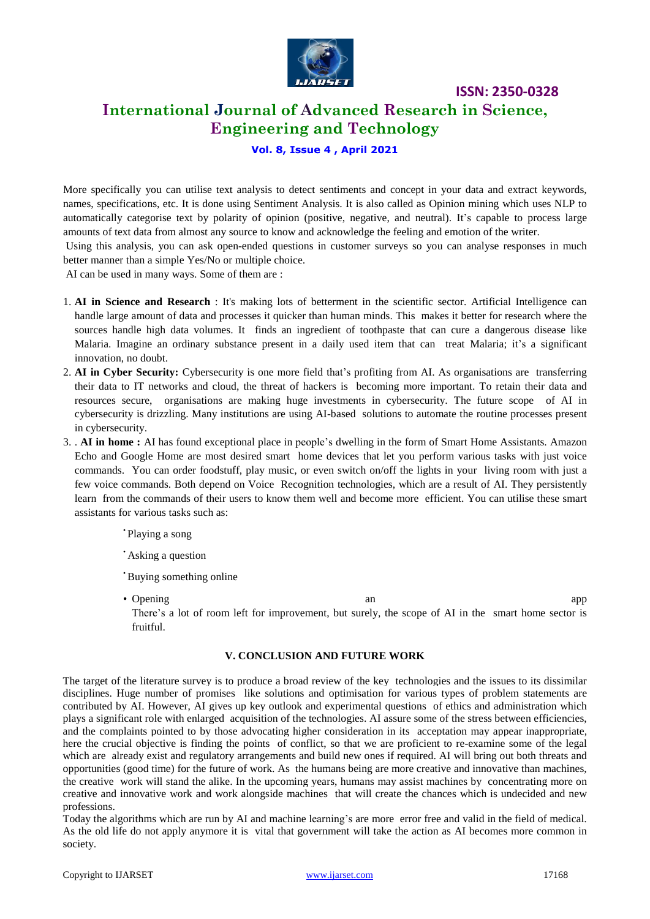

## **International Journal of Advanced Research in Science, Engineering and Technology**

**ISSN: 2350-0328**

### **Vol. 8, Issue 4 , April 2021**

More specifically you can utilise text analysis to detect sentiments and concept in your data and extract keywords, names, specifications, etc. It is done using Sentiment Analysis. It is also called as Opinion mining which uses NLP to automatically categorise text by polarity of opinion (positive, negative, and neutral). It's capable to process large amounts of text data from almost any source to know and acknowledge the feeling and emotion of the writer.

Using this analysis, you can ask open-ended questions in customer surveys so you can analyse responses in much better manner than a simple Yes/No or multiple choice.

AI can be used in many ways. Some of them are :

- 1. **AI in Science and Research** : It's making lots of betterment in the scientific sector. Artificial Intelligence can handle large amount of data and processes it quicker than human minds. This makes it better for research where the sources handle high data volumes. It finds an ingredient of toothpaste that can cure a dangerous disease like Malaria. Imagine an ordinary substance present in a daily used item that can treat Malaria; it's a significant innovation, no doubt.
- 2. **AI in Cyber Security:** Cybersecurity is one more field that's profiting from AI. As organisations are transferring their data to IT networks and cloud, the threat of hackers is becoming more important. To retain their data and resources secure, organisations are making huge investments in cybersecurity. The future scope of AI in cybersecurity is drizzling. Many institutions are using AI-based solutions to automate the routine processes present in cybersecurity.
- 3. . **AI in home :** AI has found exceptional place in people's dwelling in the form of Smart Home Assistants. Amazon Echo and Google Home are most desired smart home devices that let you perform various tasks with just voice commands. You can order foodstuff, play music, or even switch on/off the lights in your living room with just a few voice commands. Both depend on Voice Recognition technologies, which are a result of AI. They persistently learn from the commands of their users to know them well and become more efficient. You can utilise these smart assistants for various tasks such as:

• Playing a song

• Asking a question

•Buying something online

• Opening an app and a subset of the set of the set of the set of the set of the set of the set of the set of the set of the set of the set of the set of the set of the set of the set of the set of the set of the set of th There's a lot of room left for improvement, but surely, the scope of AI in the smart home sector is fruitful.

#### **V. CONCLUSION AND FUTURE WORK**

The target of the literature survey is to produce a broad review of the key technologies and the issues to its dissimilar disciplines. Huge number of promises like solutions and optimisation for various types of problem statements are contributed by AI. However, AI gives up key outlook and experimental questions of ethics and administration which plays a significant role with enlarged acquisition of the technologies. AI assure some of the stress between efficiencies, and the complaints pointed to by those advocating higher consideration in its acceptation may appear inappropriate, here the crucial objective is finding the points of conflict, so that we are proficient to re-examine some of the legal which are already exist and regulatory arrangements and build new ones if required. AI will bring out both threats and opportunities (good time) for the future of work. As the humans being are more creative and innovative than machines, the creative work will stand the alike. In the upcoming years, humans may assist machines by concentrating more on creative and innovative work and work alongside machines that will create the chances which is undecided and new professions.

Today the algorithms which are run by AI and machine learning's are more error free and valid in the field of medical. As the old life do not apply anymore it is vital that government will take the action as AI becomes more common in society.